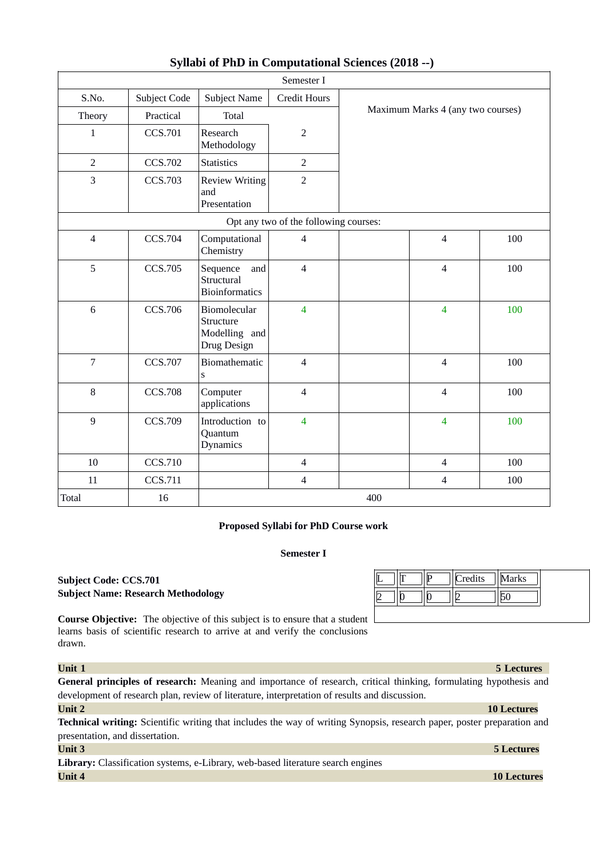|                  |                |                                                           | Semester I                            |     |                                   |     |
|------------------|----------------|-----------------------------------------------------------|---------------------------------------|-----|-----------------------------------|-----|
| S.No.            | Subject Code   | <b>Subject Name</b>                                       | <b>Credit Hours</b>                   |     |                                   |     |
| Theory           | Practical      | <b>Total</b>                                              |                                       |     | Maximum Marks 4 (any two courses) |     |
| $\mathbf 1$      | <b>CCS.701</b> | Research<br>Methodology                                   | $\sqrt{2}$                            |     |                                   |     |
| $\overline{2}$   | <b>CCS.702</b> | <b>Statistics</b>                                         | $\overline{2}$                        |     |                                   |     |
| 3                | <b>CCS.703</b> | <b>Review Writing</b><br>and<br>Presentation              | $\overline{2}$                        |     |                                   |     |
|                  |                |                                                           | Opt any two of the following courses: |     |                                   |     |
| $\overline{4}$   | <b>CCS.704</b> | Computational<br>Chemistry                                | $\overline{4}$                        |     | $\overline{4}$                    | 100 |
| 5                | <b>CCS.705</b> | Sequence<br>and<br>Structural<br><b>Bioinformatics</b>    | $\overline{4}$                        |     | $\overline{4}$                    | 100 |
| 6                | <b>CCS.706</b> | Biomolecular<br>Structure<br>Modelling and<br>Drug Design | $\overline{\mathbf{4}}$               |     | $\overline{4}$                    | 100 |
| $\overline{7}$   | <b>CCS.707</b> | Biomathematic<br>S                                        | $\overline{4}$                        |     | $\overline{4}$                    | 100 |
| $\, 8$           | <b>CCS.708</b> | Computer<br>applications                                  | $\overline{4}$                        |     | $\overline{4}$                    | 100 |
| $\boldsymbol{9}$ | <b>CCS.709</b> | Introduction to<br>Quantum<br>Dynamics                    | $\overline{4}$                        |     | $\overline{4}$                    | 100 |
| 10               | CCS.710        |                                                           | $\overline{4}$                        |     | $\overline{4}$                    | 100 |
| 11               | <b>CCS.711</b> |                                                           | $\overline{4}$                        |     | $\overline{4}$                    | 100 |
| <b>Total</b>     | 16             |                                                           |                                       | 400 |                                   |     |

# **Syllabi of PhD in Computational Sciences (2018 --)**

# **Proposed Syllabi for PhD Course work**

# **Semester I**

# **Subject Code: CCS.701 Subject Name: Research Methodology**

**Course Objective:** The objective of this subject is to ensure that a student learns basis of scientific research to arrive at and verify the conclusions drawn.

| Unit 1                                                                                                                  | 5 Lectures         |
|-------------------------------------------------------------------------------------------------------------------------|--------------------|
| General principles of research: Meaning and importance of research, critical thinking, formulating hypothesis and       |                    |
| development of research plan, review of literature, interpretation of results and discussion.                           |                    |
| <b>Unit 2</b>                                                                                                           | <b>10 Lectures</b> |
| Technical writing: Scientific writing that includes the way of writing Synopsis, research paper, poster preparation and |                    |
| presentation, and dissertation.                                                                                         |                    |
| <b>Unit 3</b>                                                                                                           | <b>5 Lectures</b>  |
| Library: Classification systems, e-Library, web-based literature search engines                                         |                    |
| <b>Unit 4</b>                                                                                                           | <b>10 Lectures</b> |

# P ||Credits ||Marks 2  $||0$   $||0$   $||2$   $||50$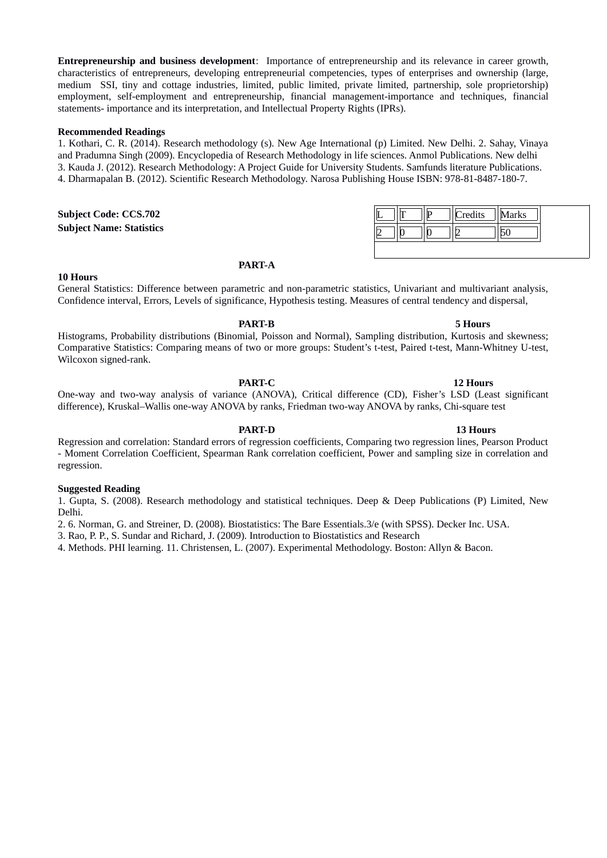**Entrepreneurship and business development**: Importance of entrepreneurship and its relevance in career growth, characteristics of entrepreneurs, developing entrepreneurial competencies, types of enterprises and ownership (large, medium SSI, tiny and cottage industries, limited, public limited, private limited, partnership, sole proprietorship) employment, self-employment and entrepreneurship, financial management-importance and techniques, financial statements- importance and its interpretation, and Intellectual Property Rights (IPRs).

# **Recommended Readings**

1. Kothari, C. R. (2014). Research methodology (s). New Age International (p) Limited. New Delhi. 2. Sahay, Vinaya and Pradumna Singh (2009). Encyclopedia of Research Methodology in life sciences. Anmol Publications. New delhi 3. Kauda J. (2012). Research Methodology: A Project Guide for University Students. Samfunds literature Publications. 4. Dharmapalan B. (2012). Scientific Research Methodology. Narosa Publishing House ISBN: 978-81-8487-180-7.

## **Subject Code: CCS.702 Subject Name: Statistics**

|  | Marks | Credits |  |  |
|--|-------|---------|--|--|
|  |       |         |  |  |

## **10 Hours**

# **PART-A**

General Statistics: Difference between parametric and non-parametric statistics, Univariant and multivariant analysis, Confidence interval, Errors, Levels of significance, Hypothesis testing. Measures of central tendency and dispersal,

**PART-B 5 Hours**  Histograms, Probability distributions (Binomial, Poisson and Normal), Sampling distribution, Kurtosis and skewness; Comparative Statistics: Comparing means of two or more groups: Student's t-test, Paired t-test, Mann-Whitney U-test, Wilcoxon signed-rank.

PART-C 12 Hours One-way and two-way analysis of variance (ANOVA), Critical difference (CD), Fisher's LSD (Least significant difference), Kruskal–Wallis one-way ANOVA by ranks, Friedman two-way ANOVA by ranks, Chi-square test

**PART-D** 13 Hours Regression and correlation: Standard errors of regression coefficients, Comparing two regression lines, Pearson Product - Moment Correlation Coefficient, Spearman Rank correlation coefficient, Power and sampling size in correlation and regression.

## **Suggested Reading**

1. Gupta, S. (2008). Research methodology and statistical techniques. Deep & Deep Publications (P) Limited, New Delhi.

2. 6. Norman, G. and Streiner, D. (2008). Biostatistics: The Bare Essentials.3/e (with SPSS). Decker Inc. USA.

3. Rao, P. P., S. Sundar and Richard, J. (2009). Introduction to Biostatistics and Research

4. Methods. PHI learning. 11. Christensen, L. (2007). Experimental Methodology. Boston: Allyn & Bacon.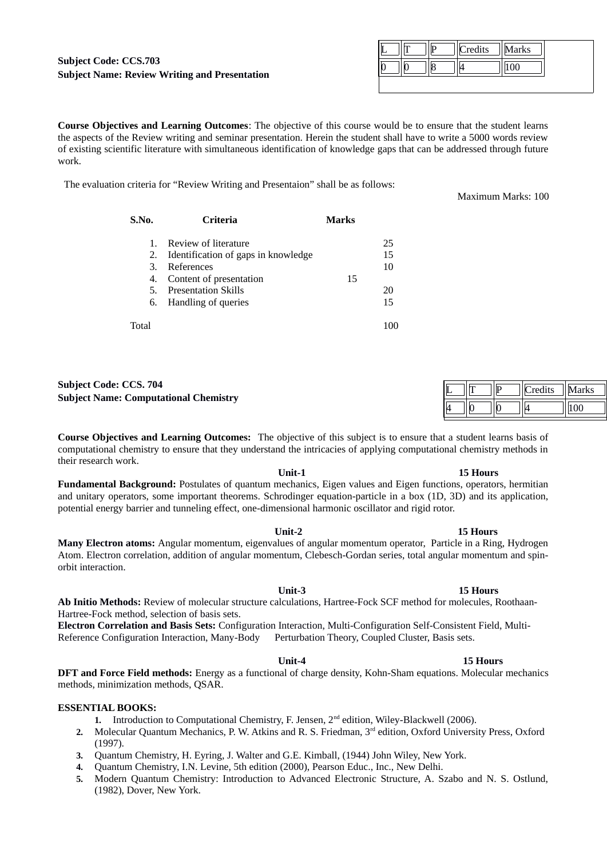## **Subject Code: CCS.703 Subject Name: Review Writing and Presentation**

|  |  | Credits<br>И | arks |  |
|--|--|--------------|------|--|
|  |  |              |      |  |
|  |  |              |      |  |

**Course Objectives and Learning Outcomes**: The objective of this course would be to ensure that the student learns the aspects of the Review writing and seminar presentation. Herein the student shall have to write a 5000 words review of existing scientific literature with simultaneous identification of knowledge gaps that can be addressed through future work.

The evaluation criteria for "Review Writing and Presentaion" shall be as follows:

| S.No.                           | Criteria                                                                                                                                                     | <b>Marks</b> |                            |
|---------------------------------|--------------------------------------------------------------------------------------------------------------------------------------------------------------|--------------|----------------------------|
| $1_{-}$<br>З.<br>4.<br>5.<br>6. | Review of literature<br>2. Identification of gaps in knowledge<br>References<br>Content of presentation<br><b>Presentation Skills</b><br>Handling of queries | 15           | 25<br>15<br>10<br>20<br>15 |
| Total                           |                                                                                                                                                              |              |                            |

# **Subject Code: CCS. 704 Subject Name: Computational Chemistry**

**Course Objectives and Learning Outcomes:** The objective of this subject is to ensure that a student learns basis of computational chemistry to ensure that they understand the intricacies of applying computational chemistry methods in their research work.

Unit-1 15 Hours

**Unit-2 15 Hours**

**Fundamental Background:** Postulates of quantum mechanics, Eigen values and Eigen functions, operators, hermitian and unitary operators, some important theorems. Schrodinger equation-particle in a box (1D, 3D) and its application, potential energy barrier and tunneling effect, one-dimensional harmonic oscillator and rigid rotor.

**Many Electron atoms:** Angular momentum, eigenvalues of angular momentum operator, Particle in a Ring, Hydrogen Atom. Electron correlation, addition of angular momentum, Clebesch-Gordan series, total angular momentum and spinorbit interaction.

**Unit-3 15 Hours Ab Initio Methods:** Review of molecular structure calculations, Hartree-Fock SCF method for molecules, Roothaan-Hartree-Fock method, selection of basis sets.

**Electron Correlation and Basis Sets:** Configuration Interaction, Multi-Configuration Self-Consistent Field, Multi-Reference Configuration Interaction, Many-Body Perturbation Theory, Coupled Cluster, Basis sets.

## **DFT and Force Field methods:** Energy as a functional of charge density, Kohn-Sham equations. Molecular mechanics methods, minimization methods, QSAR.

## **ESSENTIAL BOOKS:**

- 1. Introduction to Computational Chemistry, F. Jensen, 2<sup>nd</sup> edition, Wiley-Blackwell (2006).
- **2.** Molecular Quantum Mechanics, P. W. Atkins and R. S. Friedman, 3rd edition, Oxford University Press, Oxford (1997).
- **3.** Quantum Chemistry, H. Eyring, J. Walter and G.E. Kimball, (1944) John Wiley, New York.
- **4.** Quantum Chemistry, I.N. Levine, 5th edition (2000), Pearson Educ., Inc., New Delhi.
- **5.** Modern Quantum Chemistry: Introduction to Advanced Electronic Structure, A. Szabo and N. S. Ostlund, (1982), Dover, New York.

## Maximum Marks: 100

|  | redits | Iarks |
|--|--------|-------|
|  |        |       |

## **Unit-4 15 Hours**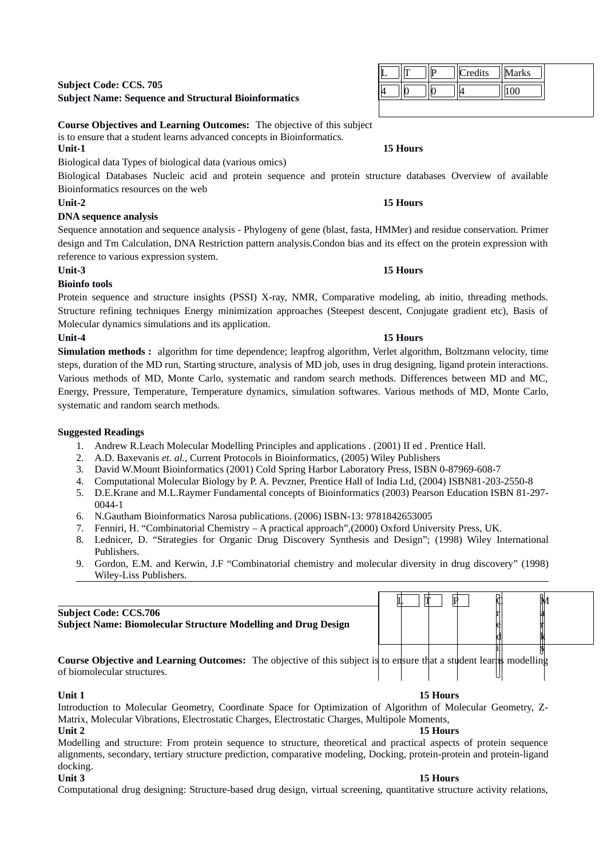# **Subject Code: CCS. 705 Subject Name: Sequence and Structural Bioinformatics**

# **Course Objectives and Learning Outcomes:** The objective of this subject

is to ensure that a student learns advanced concepts in Bioinformatics.

Biological data Types of biological data (various omics)

Biological Databases Nucleic acid and protein sequence and protein structure databases Overview of available Bioinformatics resources on the web

# **Unit-2 15 Hours**

# **DNA sequence analysis**

Sequence annotation and sequence analysis - Phylogeny of gene (blast, fasta, HMMer) and residue conservation. Primer design and Tm Calculation, DNA Restriction pattern analysis.Condon bias and its effect on the protein expression with reference to various expression system.

# **Unit-3 15 Hours**

# **Bioinfo tools**

Protein sequence and structure insights (PSSI) X-ray, NMR, Comparative modeling, ab initio, threading methods. Structure refining techniques Energy minimization approaches (Steepest descent, Conjugate gradient etc), Basis of Molecular dynamics simulations and its application.

# **Unit-4 15 Hours**

**Simulation methods :** algorithm for time dependence; leapfrog algorithm, Verlet algorithm, Boltzmann velocity, time steps, duration of the MD run, Starting structure, analysis of MD job, uses in drug designing, ligand protein interactions. Various methods of MD, Monte Carlo, systematic and random search methods. Differences between MD and MC, Energy, Pressure, Temperature, Temperature dynamics, simulation softwares. Various methods of MD, Monte Carlo, systematic and random search methods.

# **Suggested Readings**

- 1. Andrew R.Leach Molecular Modelling Principles and applications . (2001) II ed . Prentice Hall.
- 2. A.D. Baxevanis *et. al.*, Current Protocols in Bioinformatics, (2005) Wiley Publishers
- 3. David W.Mount Bioinformatics (2001) Cold Spring Harbor Laboratory Press, ISBN 0-87969-608-7
- 4. Computational Molecular Biology by P. A. Pevzner, Prentice Hall of India Ltd, (2004) ISBN81-203-2550-8
- 5. D.E.Krane and M.L.Raymer Fundamental concepts of Bioinformatics (2003) Pearson Education ISBN 81-297- 0044-1
- 6. N.Gautham Bioinformatics Narosa publications. (2006) ISBN-13: 9781842653005
- 7. Fenniri, H. "Combinatorial Chemistry A practical approach",(2000) Oxford University Press, UK.
- 8. Lednicer, D. "Strategies for Organic Drug Discovery Synthesis and Design"; (1998) Wiley International Publishers.
- 9. Gordon, E.M. and Kerwin, J.F "Combinatorial chemistry and molecular diversity in drug discovery" (1998) Wiley-Liss Publishers.

# **Subject Code: CCS.706**

**Subject Name: Biomolecular Structure Modelling and Drug Design**

**Course Objective and Learning Outcomes:** The objective of this subject is to ensure that a student learns modelling of biomolecular structures. i s

**Unit 1 15 Hours** Introduction to Molecular Geometry, Coordinate Space for Optimization of Algorithm of Molecular Geometry, Z-Matrix, Molecular Vibrations, Electrostatic Charges, Electrostatic Charges, Multipole Moments,

**Unit 2 15 Hours** Modelling and structure: From protein sequence to structure, theoretical and practical aspects of protein sequence alignments, secondary, tertiary structure prediction, comparative modeling, Docking, protein-protein and protein-ligand docking.

**Unit 3 15 Hours** Computational drug designing: Structure-based drug design, virtual screening, quantitative structure activity relations,

# Credits | Marks 4 |||0 |||0 |||4 |||100

## Unit-1 15 Hours

 $L \mid T \mid P \mid Q$ 

r e d M a r k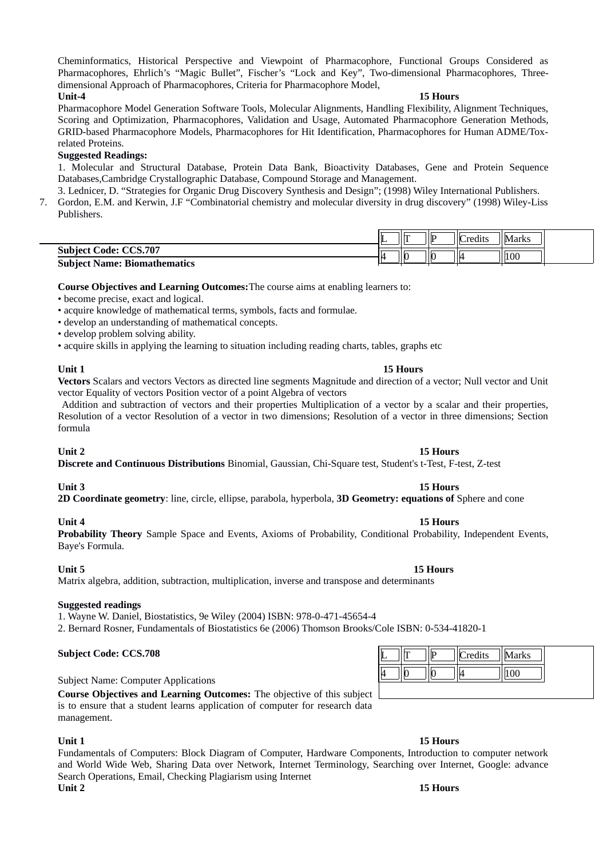Cheminformatics, Historical Perspective and Viewpoint of Pharmacophore, Functional Groups Considered as Pharmacophores, Ehrlich's "Magic Bullet", Fischer's "Lock and Key", Two-dimensional Pharmacophores, Threedimensional Approach of Pharmacophores, Criteria for Pharmacophore Model,

## **Unit-4 15 Hours**

Pharmacophore Model Generation Software Tools, Molecular Alignments, Handling Flexibility, Alignment Techniques, Scoring and Optimization, Pharmacophores, Validation and Usage, Automated Pharmacophore Generation Methods, GRID-based Pharmacophore Models, Pharmacophores for Hit Identification, Pharmacophores for Human ADME/Toxrelated Proteins.

## **Suggested Readings:**

1. Molecular and Structural Database, Protein Data Bank, Bioactivity Databases, Gene and Protein Sequence Databases,Cambridge Crystallographic Database, Compound Storage and Management.

3. Lednicer, D. "Strategies for Organic Drug Discovery Synthesis and Design"; (1998) Wiley International Publishers.

7. Gordon, E.M. and Kerwin, J.F "Combinatorial chemistry and molecular diversity in drug discovery" (1998) Wiley-Liss Publishers.

|                                     | ୴ |    |    | `redits | Marks |  |
|-------------------------------------|---|----|----|---------|-------|--|
| <b>Subject Code: CCS.707</b>        |   |    |    |         |       |  |
| <b>Subject Name: Biomathematics</b> |   | ш. | IK |         | 100   |  |

**Course Objectives and Learning Outcomes:**The course aims at enabling learners to:

• become precise, exact and logical.

• acquire knowledge of mathematical terms, symbols, facts and formulae.

• develop an understanding of mathematical concepts.

• develop problem solving ability.

• acquire skills in applying the learning to situation including reading charts, tables, graphs etc

**Vectors** Scalars and vectors Vectors as directed line segments Magnitude and direction of a vector; Null vector and Unit vector Equality of vectors Position vector of a point Algebra of vectors

Addition and subtraction of vectors and their properties Multiplication of a vector by a scalar and their properties, Resolution of a vector Resolution of a vector in two dimensions; Resolution of a vector in three dimensions; Section formula

## **Unit 2 15 Hours**

**Discrete and Continuous Distributions** Binomial, Gaussian, Chi-Square test, Student's t-Test, F-test, Z-test

**2D Coordinate geometry**: line, circle, ellipse, parabola, hyperbola, **3D Geometry: equations of** Sphere and cone

## **Unit 4 15 Hours**

**Probability Theory** Sample Space and Events, Axioms of Probability, Conditional Probability, Independent Events, Baye's Formula.

## **Unit 5 15 Hours**

Matrix algebra, addition, subtraction, multiplication, inverse and transpose and determinants

## **Suggested readings**

1. Wayne W. Daniel, Biostatistics, 9e Wiley (2004) ISBN: 978-0-471-45654-4

2. Bernard Rosner, Fundamentals of Biostatistics 6e (2006) Thomson Brooks/Cole ISBN: 0-534-41820-1

## **Subject Code: CCS.708**

Subject Name: Computer Applications

**Course Objectives and Learning Outcomes:** The objective of this subject is to ensure that a student learns application of computer for research data management.

## **Unit 1 15 Hours**

Fundamentals of Computers: Block Diagram of Computer, Hardware Components, Introduction to computer network and World Wide Web, Sharing Data over Network, Internet Terminology, Searching over Internet, Google: advance Search Operations, Email, Checking Plagiarism using Internet **Unit 2 15 Hours**

# Credits  $\|\text{Marks}\|$

 $100$ 

## **Unit 1** 15 Hours

# **Unit 3 15 Hours**